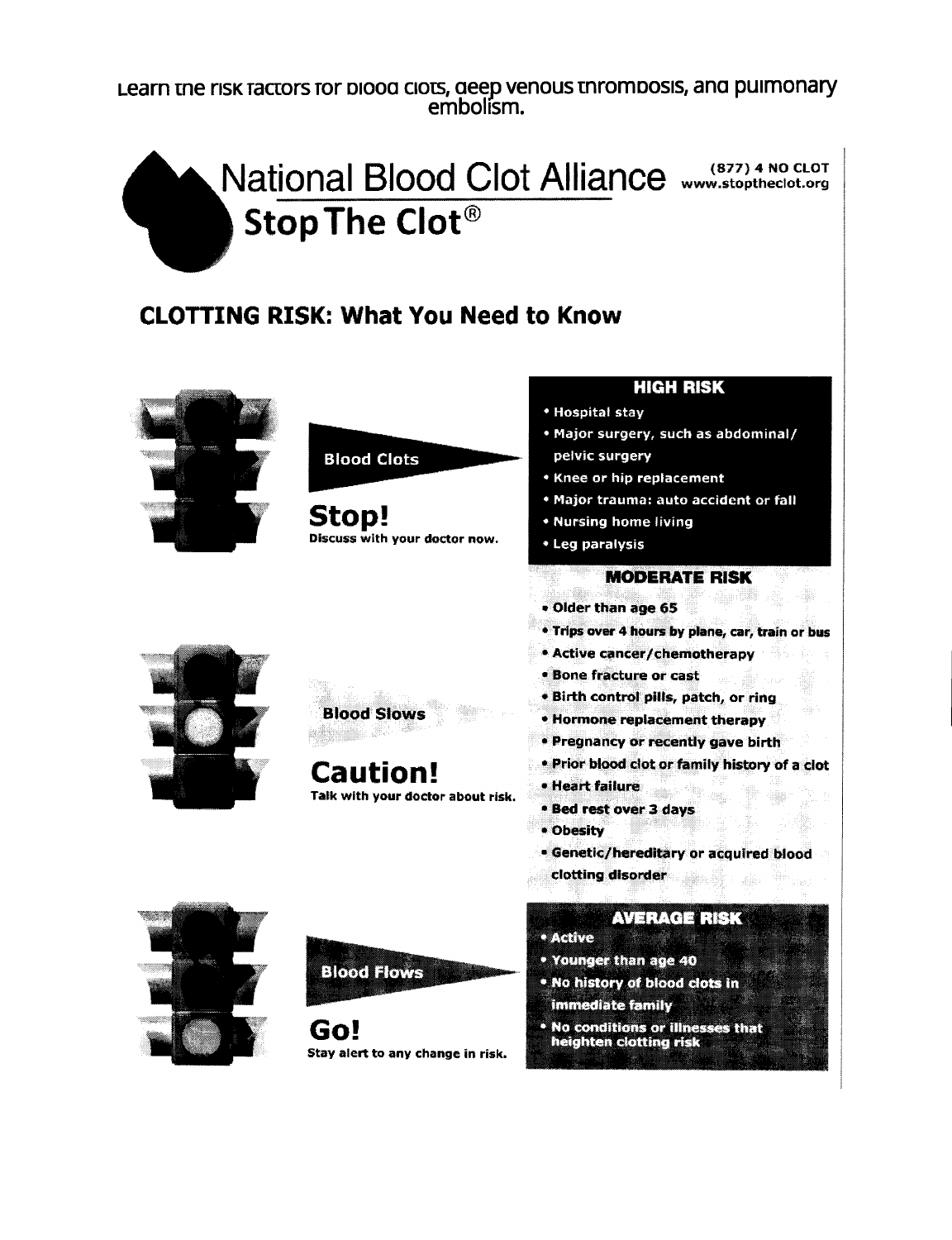Learn me nsx racrors for 01000 ClOts,*aeep* venous mromoosis,ana puimonary embolism.



#### CLOTTING RISK: What You Need to Know



# **Blood Clots**

Stop! Discuss with your doctor now.

#### **HIGH RISK**

- Hospital stay
- . Major surgery, such as abdominal/ pelvic surgery
- **\* Knee or hip replacement**
- . Major trauma: auto accident or fall
- Nursing home living
- Leg paralysis

#### **MODERATE RISK**

- · Older than age 65
- . Trips over 4 hours by plane, car, train or bus
- **\* Active cancer/chemotherapy**
- **\* Bone fracture or cast**
- . Birth control pills, patch, or ring
- **\* Hormone replacement therapy**
- · Pregnancy or recently gave birth
- . Prior blood clot or family history of a clot
- · Heart failure
- **\* Bed rest over 3 days**
- Obesity
- · Genetic/hereditary or acquired blood
- clotting disorder

#### **AVERACE RISK**

- **e Active**
- . Younger than age 40
- . No history of blood clots in immediate family
- 
- . No conditions or illnesses that heighten clotting risk



**Blood Slows** 

Caution! Talk with your doctor about risk.





Go! Stay alert to any change in risk.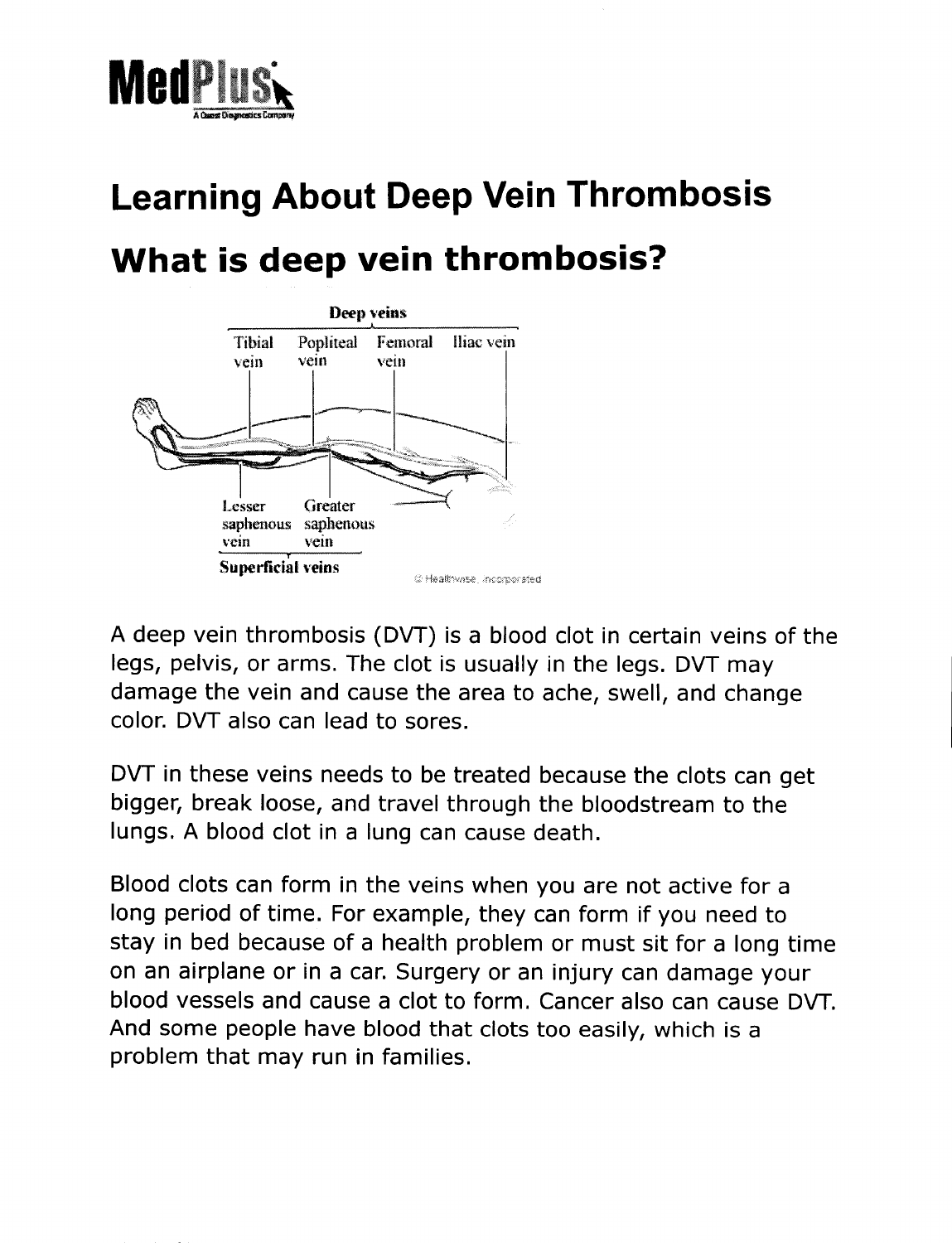

# **Learning About Deep Vein Thrombosis What is deep vein thrombosis?**



A deep vein thrombosis (DVT) is a blood clot in certain veins of the legs, pelvis, or arms. The clot is usually in the legs. DVT may damage the vein and cause the area to ache, swell, and change color. DVT also can lead to sores.

DVT in these veins needs to be treated because the clots can get bigger, break loose, and travel through the bloodstream to the lungs. A blood clot in a lung can cause death.

Blood clots can form in the veins when you are not active for a long period of time. For example, they can form if you need to stay in bed because of a health problem or must sit for a long time on an airplane or in a car. Surgery or an injury can damage your blood vessels and cause a clot to form. Cancer also can cause DVT. And some people have blood that clots too easily, which is a problem that may run in families.

------- - - -- ------------------------------------------------------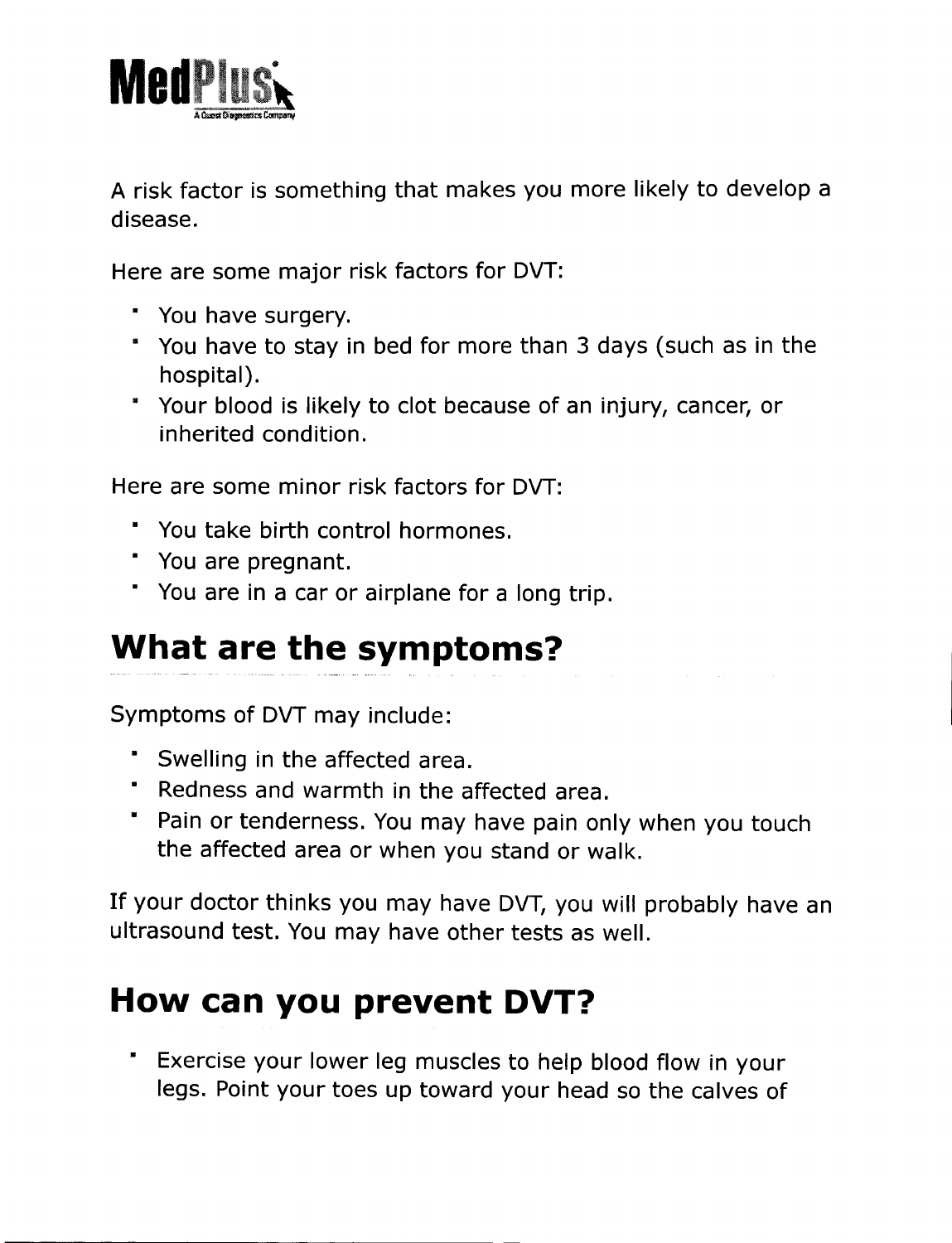

A risk factor is something that makes you more likely to develop a disease.

Here are some major risk factors for DVT:

- You have surgery.
- You have to stay in bed for more than 3 days (such as in the hospital).
- Your blood is likely to clot because of an injury, cancer, or inherited condition.

Here are some minor risk factors for DVT:

- You take birth control hormones.
- You are pregnant.
- You are in a car or airplane for a long trip.

# **What are the symptoms?**

Symptoms of DVT may include:

- Swelling in the affected area.
- Redness and warmth in the affected area.
- Pain or tenderness. You may have pain only when you touch the affected area or when you stand or walk.

If your doctor thinks you may have DVT, you will probably have an ultrasound test. You may have other tests as well.

# **How can you prevent DVT?**

• Exercise your lower leg muscles to help blood flow in your legs. Point your toes up toward your head so the calves of

---------------------------------- - ---------------------------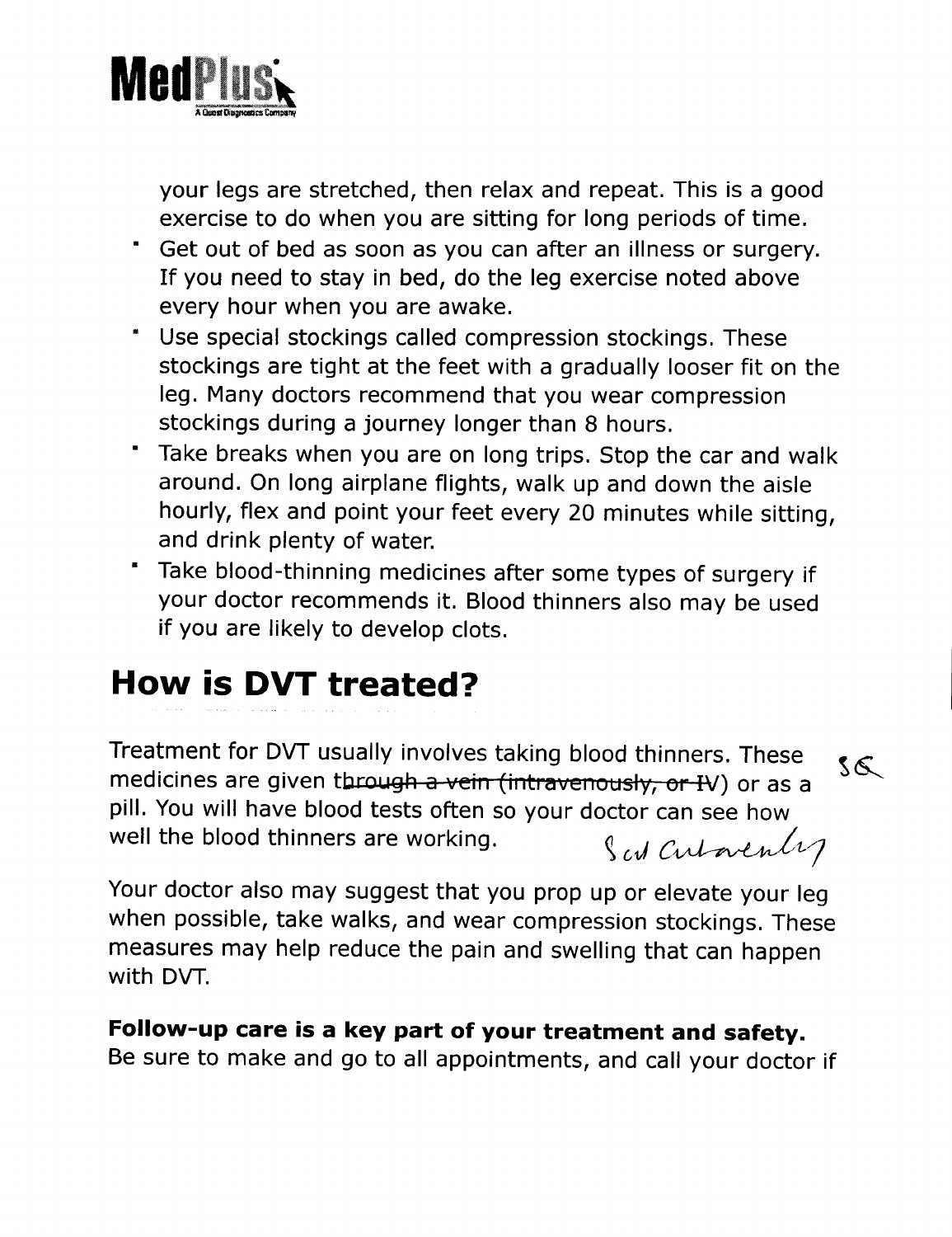

your legs are stretched, then relax and repeat. This is a good exercise to do when you are sitting for long periods of time.

- Get out of bed as soon as you can after an illness or surgery. If you need to stay in bed, do the leg exercise noted above every hour when you are awake.
- Use special stockings called compression stockings. These stockings are tight at the feet with a gradually looser fit on the leg. Many doctors recommend that you wear compression stockings during a journey longer than 8 hours.
- Take breaks when you are on long trips. Stop the car and walk around. On long airplane flights, walk up and down the aisle hourly, flex and point your feet every 20 minutes while sitting, and drink plenty of water.
- Take blood-thinning medicines after some types of surgery if your doctor recommends it. Blood thinners also may be used if you are likely to develop clots.

# **How is DVT treated?**

Treatment for DVT usually involves taking blood thinners. These  $\sqrt{s}$ medicines are given through a vein (intravenously, or IV) or as a pill. You will have blood tests often so your doctor can see how well the blood thinners are working.  $\int_{\mathcal{C}} f(x) \, dx$  *and*  $\int_{\mathcal{C}} f(x) \, dx$ 

Your doctor also may suggest that you prop up or elevate your leg when possible, take walks, and wear compression stockings. These measures may help reduce the pain and swelling that can happen with DVT.

#### **Follow-up care is a key part of your treatment and safety.**

Be sure to make and go to all appointments, and call your doctor if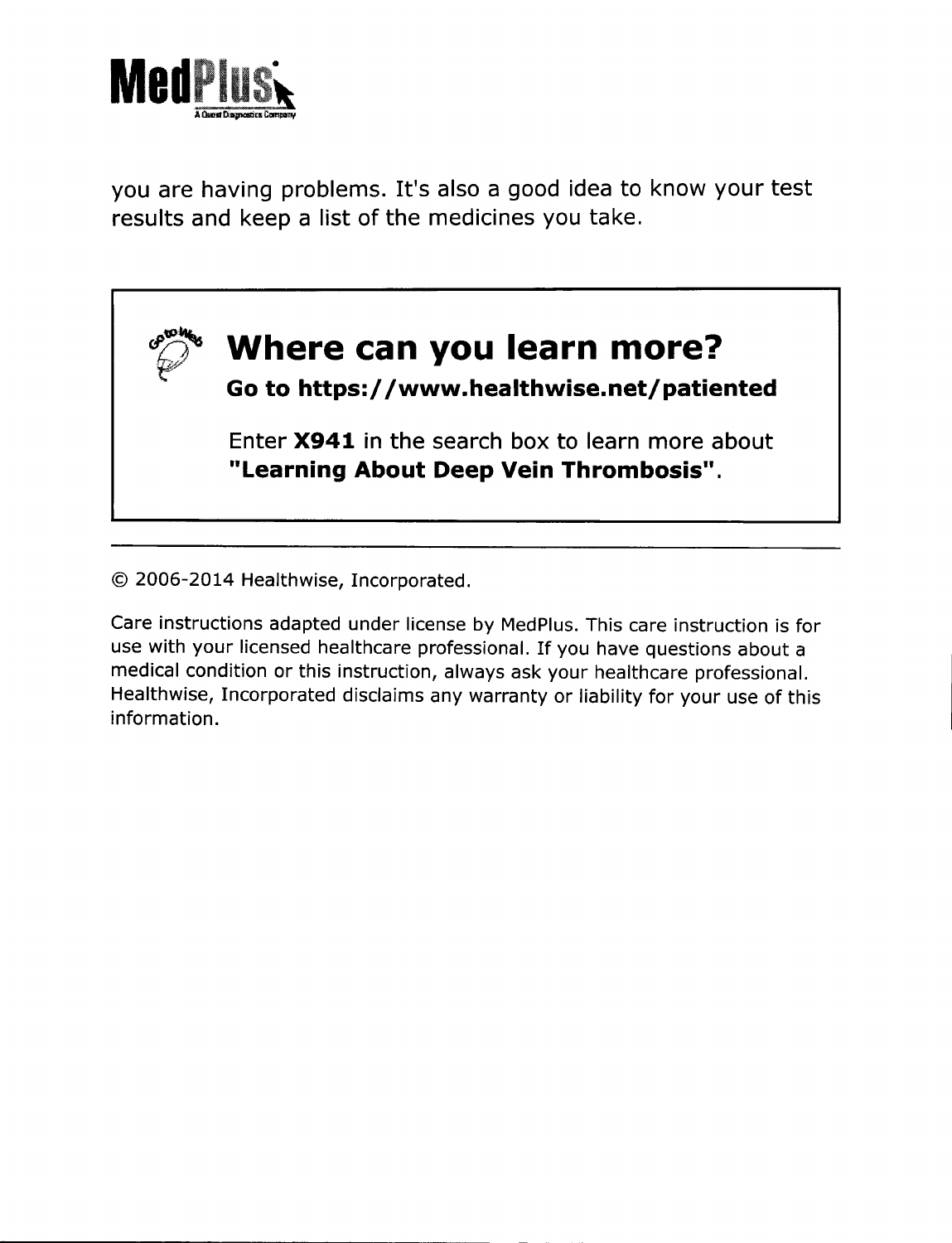

you are having problems. It's also a good idea to know your test results and keep a list of the medicines you take.



© 2006-2014 Healthwise, Incorporated.

Care instructions adapted under license by MedPlus.This care instruction is for use with your licensed healthcare professional, If you have questions about a medical condition or this instruction, always ask your healthcare professional. Healthwise, Incorporated disclaims any warranty or liability for your use of this information.

- - - --------------~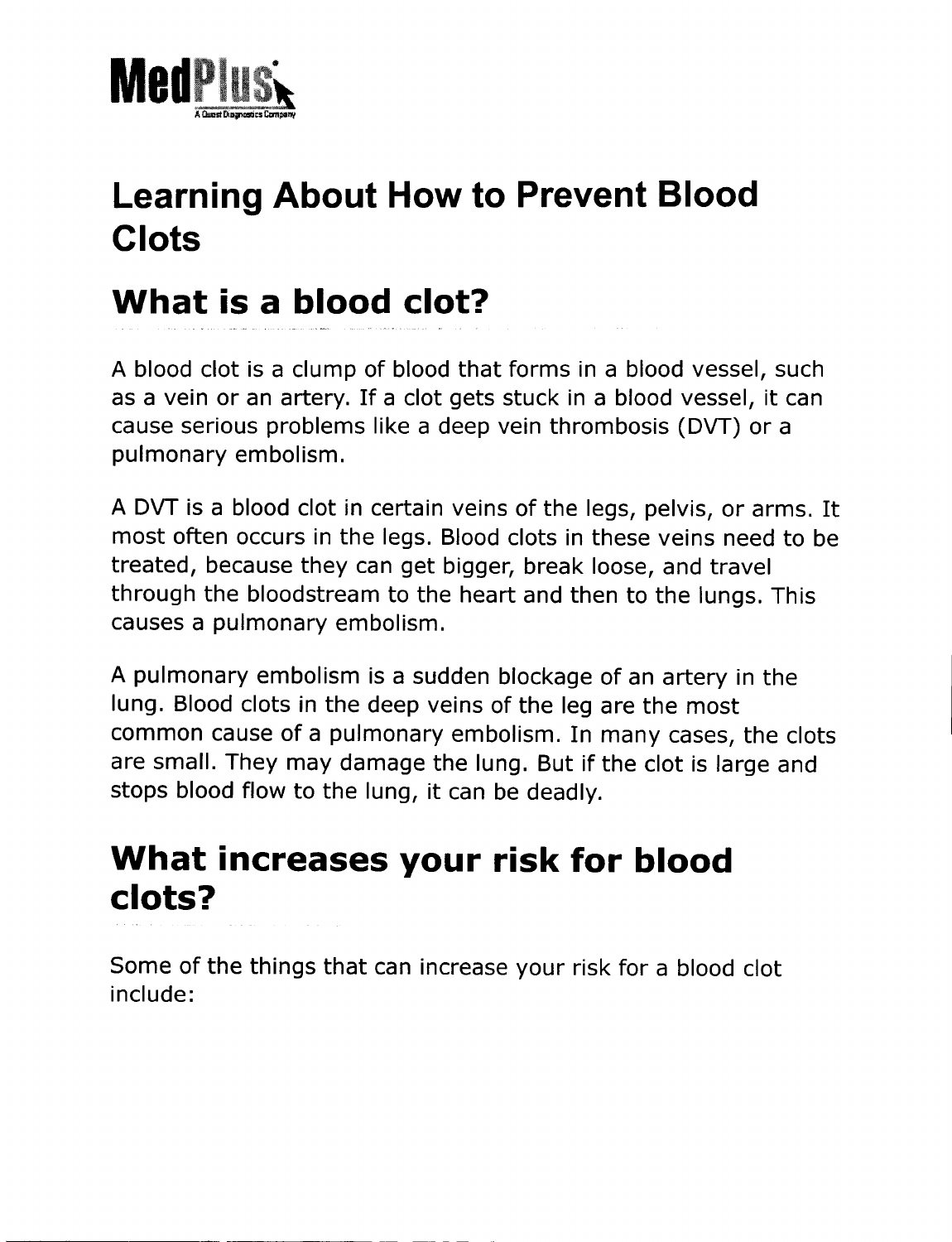

# **Learning About How to Prevent Blood Clots**

# **What is a blood clot?**

A blood clot is a clump of blood that forms in a blood vessel, such as a vein or an artery. If a clot gets stuck in a blood vessel, it can cause serious problems like a deep vein thrombosis (DVT) or a pulmonary embolism.

<sup>A</sup> DVT is <sup>a</sup> blood clot in certain veins of the legs, pelvis, or arms. It most often occurs in the legs. Blood clots in these veins need to be treated, because they can get bigger, break loose, and travel through the bloodstream to the heart and then to the lungs. This causes a pulmonary embolism.

A pulmonary embolism is a sudden blockage of an artery in the lung. Blood clots in the deep veins of the leg are the most common cause of a pulmonary embolism. In many cases, the clots are small. They may damage the lung. But if the clot is large and stops blood flow to the lung, it can be deadly.

## **What increases your risk for blood clots?**

------- ----- - - - - - \_. - -------------

Some of the things that can increase your risk for a blood clot include: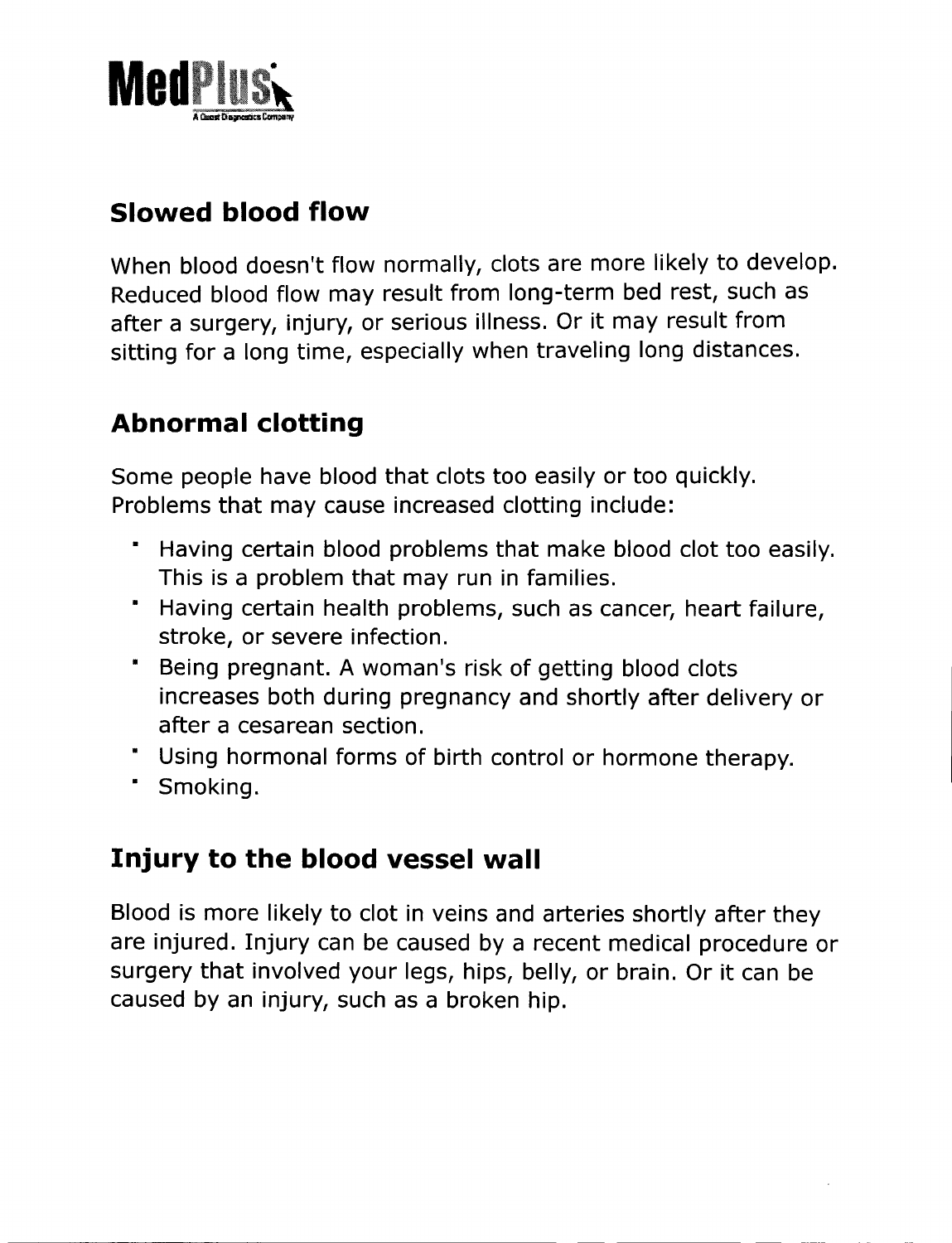

### **Slowed blood flow**

When blood doesn't flow normally, clots are more likely to develop. Reduced blood flow may result from long-term bed rest, such as after a surgery, injury, or serious illness. Or it may result from sitting for a long time, especially when traveling long distances.

### **Abnormal clotting**

Some people have blood that clots too easily or too quickly. Problems that may cause increased clotting include:

- Having certain blood problems that make blood clot too easily. This is a problem that may run in families.
- Having certain health problems, such as cancer, heart failure, stroke, or severe infection.
- Being pregnant. A woman's risk of getting blood clots increases both during pregnancy and shortly after delivery or after a cesarean section.
- Using hormonal forms of birth control or hormone therapy.
- Smoking.

### **Injury to the blood vessel wall**

Blood is more likely to clot in veins and arteries shortly after they are injured. Injury can be caused by a recent medical procedure or surgery that involved your legs, hips, belly, or brain. Or it can be caused by an injury, such as a broken hip.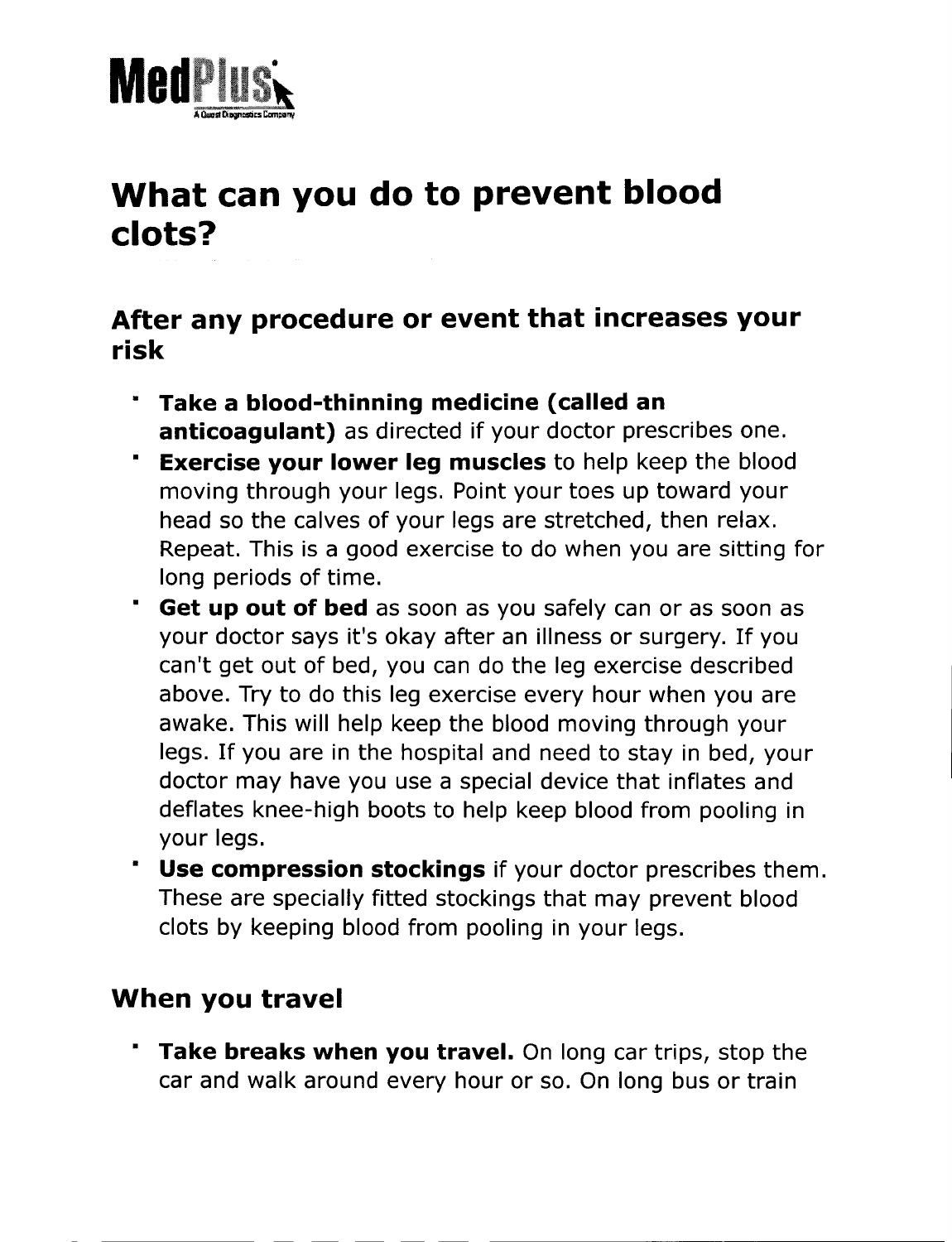

# **What can you do to prevent blood clots?**

#### **After any procedure or event that increases your risk**

- **· Take a blood-thinning medicine (called an anticoagulant)** as directed if your doctor prescribes one.
- **· Exercise your lower leg muscles** to help keep the blood moving through your legs. Point your toes up toward your head so the calves of your legs are stretched, then relax. Repeat. This is a good exercise to do when you are sitting for long periods of time.
- **· Get up out of bed** as soon as you safely can or as soon as your doctor says it's okay after an illness or surgery. If you can't get out of bed, you can do the leg exercise described above. Try to do this leg exercise every hour when you are awake. This will help keep the blood moving through your legs. If you are in the hospital and need to stay in bed, your doctor may have you use a special device that inflates and deflates knee-high boots to help keep blood from pooling in your legs.
- **• Use compression stockings** if your doctor prescribes them. These are specially fitted stockings that may prevent blood clots by keeping blood from pooling in your legs.

#### **When you travel**

**· Take breaks when you travel.** On long car trips, stop the car and walk around every hour or so. On long bus or train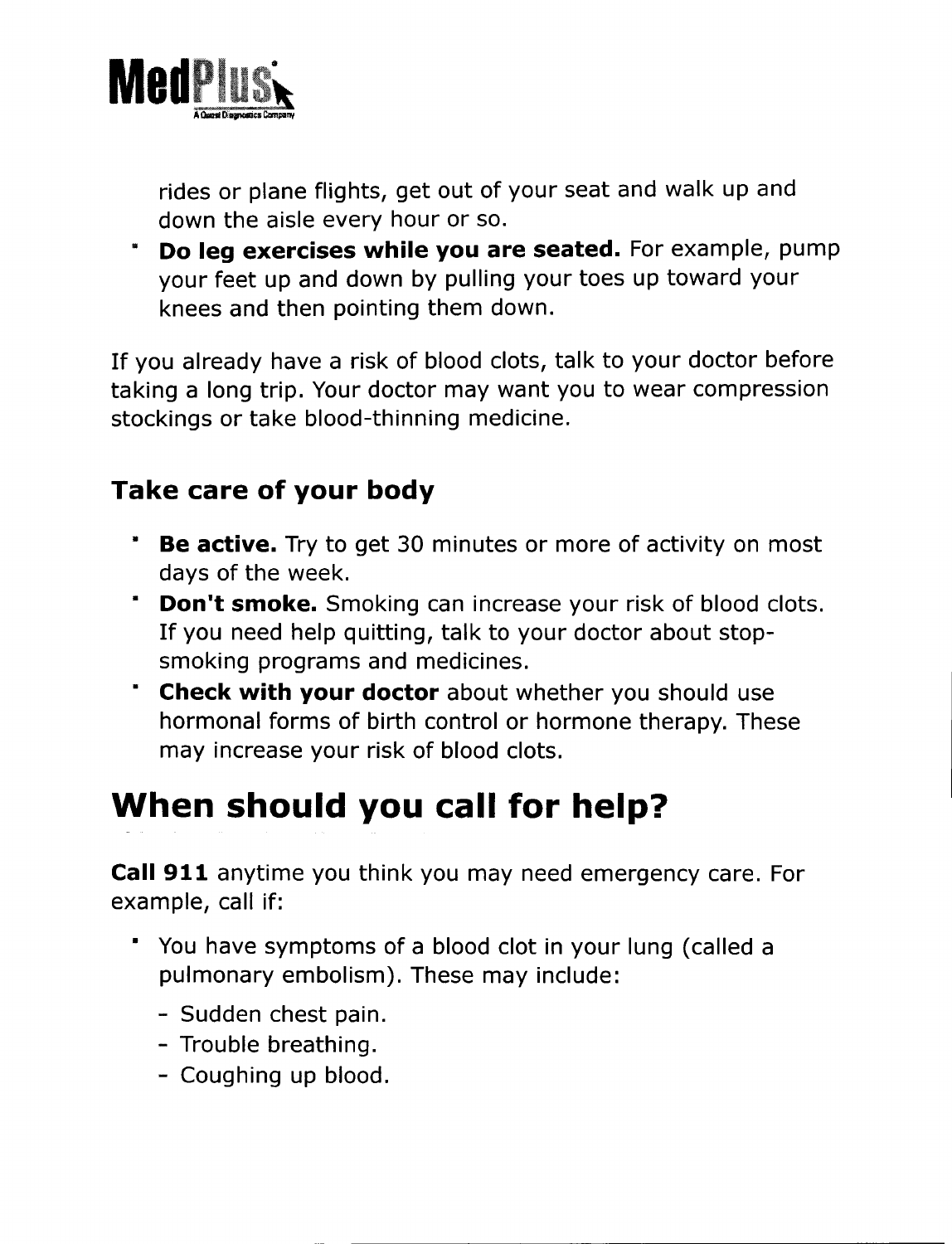

rides or plane flights, get out of your seat and walk up and down the aisle every hour or so.

**· Do leg exercises while you are seated.** For example, pump your feet up and down by pulling your toes up toward your knees and then pointing them down.

If you already have a risk of blood clots, talk to your doctor before taking a long trip. Your doctor may want you to wear compression stockings or take blood-thinning medicine.

### **Take care of your body**

- **• Be active.** Try to get 30 minutes or more of activity on most days of the week.
- **· Don't smoke.** Smoking can increase your risk of blood clots. If you need help quitting, talk to your doctor about stopsmoking programs and medicines.
- **· Check with your doctor** about whether you should use hormonal forms of birth control or hormone therapy. These may increase your risk of blood clots.

# **When should you call for help?**

**Call 911** anytime you think you may need emergency care. For example, call if:

- You have symptoms of a blood clot in your lung (called a pulmonary embolism). These may include:
	- Sudden chest pain.
	- Trouble breathing.
	- Coughing up blood.